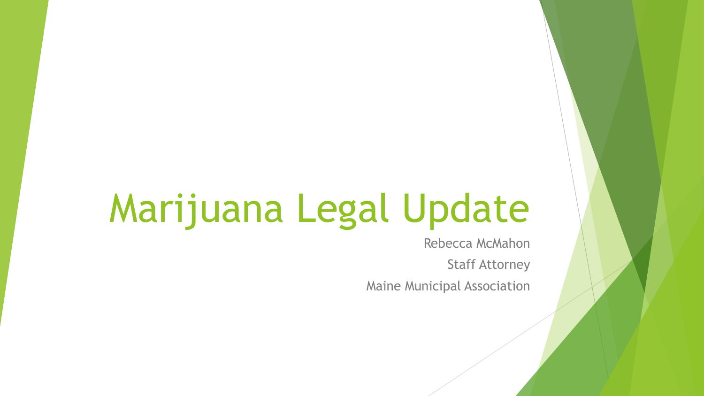# Marijuana Legal Update

Rebecca McMahon Staff Attorney Maine Municipal Association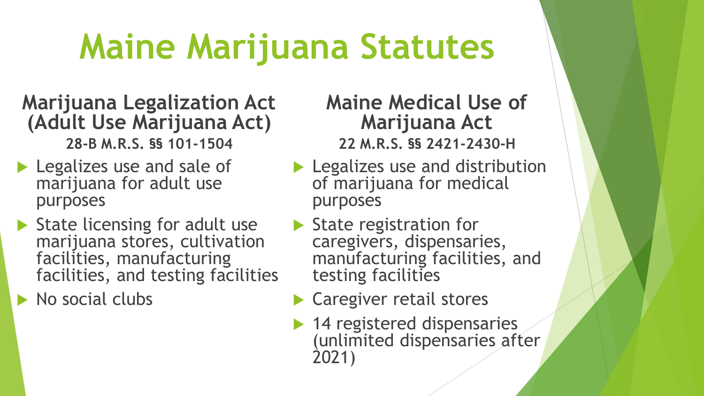## **Maine Marijuana Statutes**

#### **Marijuana Legalization Act (Adult Use Marijuana Act)**

**28-B M.R.S. §§ 101-1504**

- **Legalizes use and sale of** marijuana for adult use purposes
- State licensing for adult use marijuana stores, cultivation facilities, manufacturing facilities, and testing facilities

 $\blacktriangleright$  No social clubs

**Maine Medical Use of Marijuana Act 22 M.R.S. §§ 2421-2430-H**

- **Legalizes use and distribution** of marijuana for medical purposes
- $\blacktriangleright$  State registration for caregivers, dispensaries, manufacturing facilities, and testing facilities
- ▶ Caregiver retail stores
- ▶ 14 registered dispensaries (unlimited dispensaries after 2021)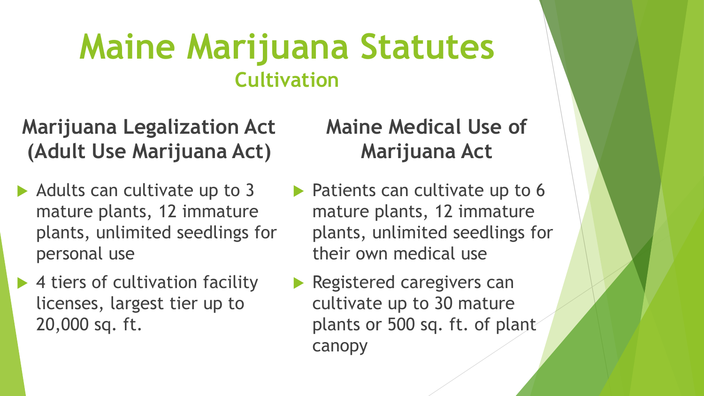### **Maine Marijuana Statutes Cultivation**

- **Marijuana Legalization Act (Adult Use Marijuana Act)**
- Adults can cultivate up to 3 mature plants, 12 immature plants, unlimited seedlings for personal use
- ▶ 4 tiers of cultivation facility licenses, largest tier up to 20,000 sq. ft.

### **Maine Medical Use of Marijuana Act**

- $\blacktriangleright$  Patients can cultivate up to 6 mature plants, 12 immature plants, unlimited seedlings for their own medical use
- Registered caregivers can cultivate up to 30 mature plants or 500 sq. ft. of plant canopy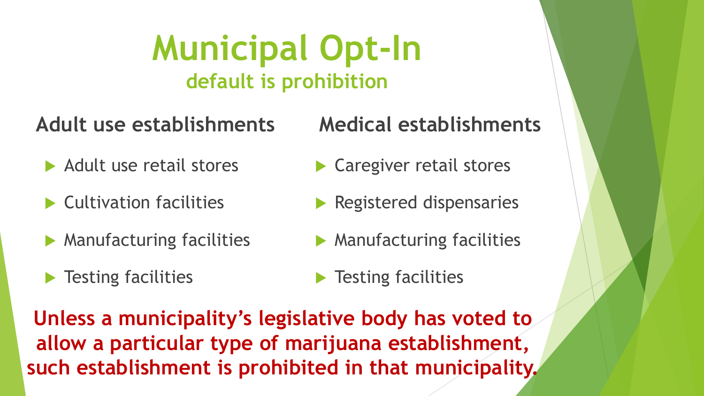### **Municipal Opt-In default is prohibition**

#### **Adult use establishments**

- ▶ Adult use retail stores
- $\blacktriangleright$  Cultivation facilities
- **Manufacturing facilities**
- **Testing facilities**

#### **Medical establishments**

- ▶ Caregiver retail stores
- Registered dispensaries
- **Manufacturing facilities**
- **Testing facilities**

**Unless a municipality's legislative body has voted to allow a particular type of marijuana establishment, such establishment is prohibited in that municipality.**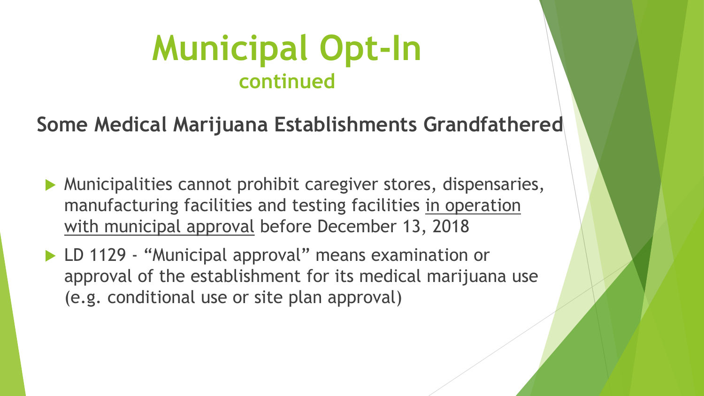### **Municipal Opt-In continued**

**Some Medical Marijuana Establishments Grandfathered**

- Municipalities cannot prohibit caregiver stores, dispensaries, manufacturing facilities and testing facilities in operation with municipal approval before December 13, 2018
- ▶ LD 1129 "Municipal approval" means examination or approval of the establishment for its medical marijuana use (e.g. conditional use or site plan approval)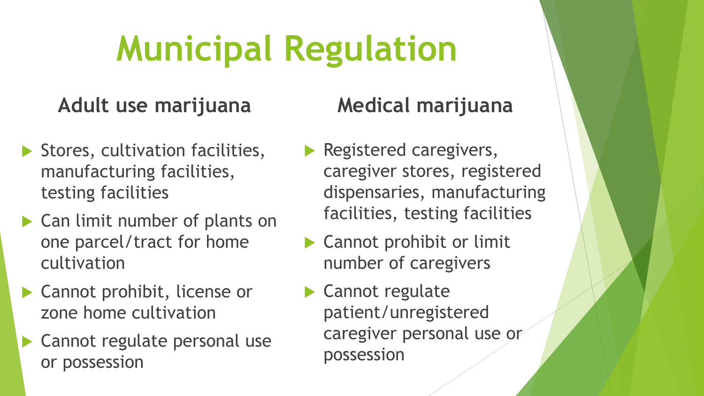# **Municipal Regulation**

### **Adult use marijuana**

- Stores, cultivation facilities, manufacturing facilities, testing facilities
- ▶ Can limit number of plants on one parcel/tract for home cultivation
- ▶ Cannot prohibit, license or zone home cultivation
- ▶ Cannot regulate personal use or possession

### **Medical marijuana**

- Registered caregivers, caregiver stores, registered dispensaries, manufacturing facilities, testing facilities
- ▶ Cannot prohibit or limit number of caregivers
- ▶ Cannot regulate patient/unregistered caregiver personal use or possession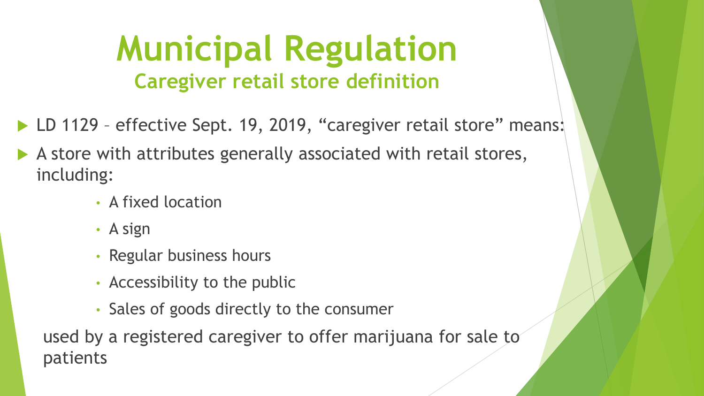### **Municipal Regulation Caregiver retail store definition**

- ▶ LD 1129 effective Sept. 19, 2019, "caregiver retail store" means:
- A store with attributes generally associated with retail stores, including:
	- A fixed location
	- A sign
	- Regular business hours
	- Accessibility to the public
	- Sales of goods directly to the consumer

used by a registered caregiver to offer marijuana for sale to patients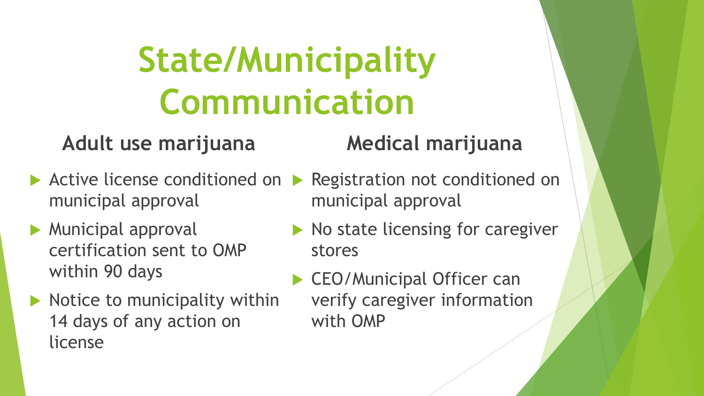## **State/Municipality Communication**

#### **Adult use marijuana**

- municipal approval
- **Municipal approval** certification sent to OMP within 90 days
- $\blacktriangleright$  Notice to municipality within 14 days of any action on license

### **Medical marijuana**

- Active license conditioned on A Registration not conditioned on municipal approval
	- $\blacktriangleright$  No state licensing for caregiver stores
	- CEO/Municipal Officer can verify caregiver information with OMP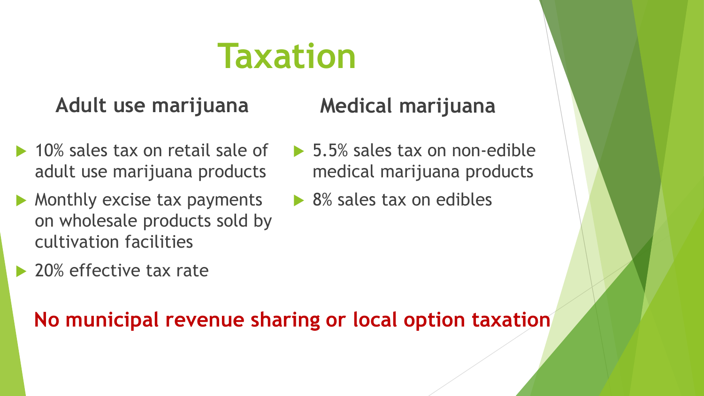## **Taxation**

### **Adult use marijuana**

- ▶ 10% sales tax on retail sale of adult use marijuana products
- $\blacktriangleright$  Monthly excise tax payments on wholesale products sold by cultivation facilities
- **Medical marijuana**
- ▶ 5.5% sales tax on non-edible medical marijuana products
- ▶ 8% sales tax on edibles

▶ 20% effective tax rate

#### **No municipal revenue sharing or local option taxation**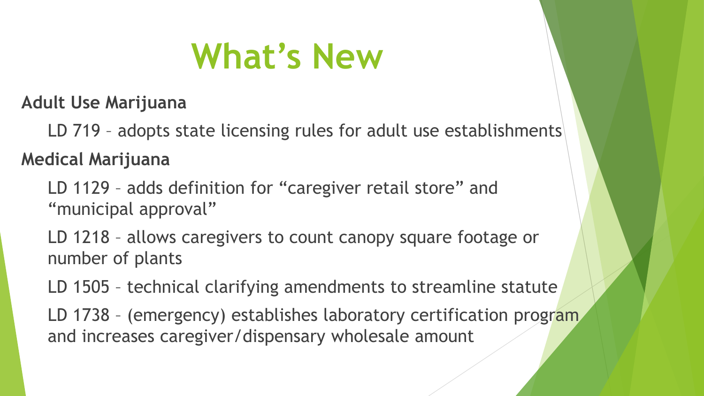## **What's New**

**Adult Use Marijuana**

LD 719 - adopts state licensing rules for adult use establishments **Medical Marijuana**

- LD 1129 adds definition for "caregiver retail store" and "municipal approval"
- LD 1218 allows caregivers to count canopy square footage or number of plants
- LD 1505 technical clarifying amendments to streamline statute
- LD 1738 (emergency) establishes laboratory certification program and increases caregiver/dispensary wholesale amount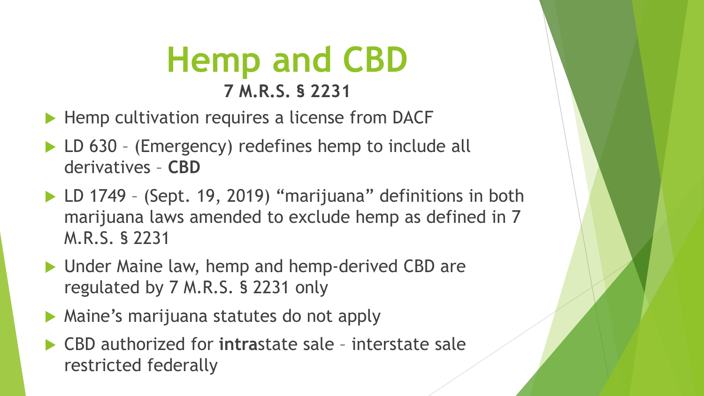### **Hemp and CBD 7 M.R.S. § 2231**

- Hemp cultivation requires a license from DACF
- ▶ LD 630 (Emergency) redefines hemp to include all derivatives – **CBD**
- ▶ LD 1749 (Sept. 19, 2019) "marijuana" definitions in both marijuana laws amended to exclude hemp as defined in 7 M.R.S. § 2231
- ▶ Under Maine law, hemp and hemp-derived CBD are regulated by 7 M.R.S. § 2231 only
- **Maine's marijuana statutes do not apply**
- CBD authorized for **intra**state sale interstate sale restricted federally